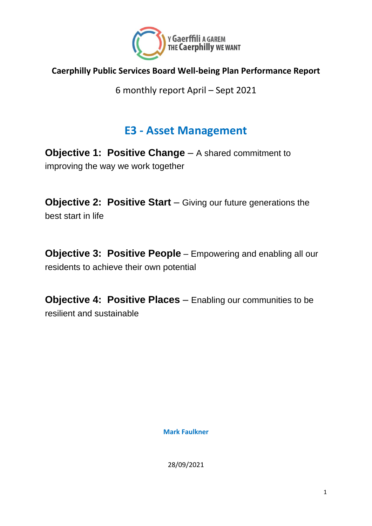

#### **Caerphilly Public Services Board Well-being Plan Performance Report**

6 monthly report April – Sept 2021

#### **E3 - Asset Management**

**Objective 1: Positive Change** – A shared commitment to improving the way we work together

**Objective 2: Positive Start** – Giving our future generations the best start in life

**Objective 3: Positive People** – Empowering and enabling all our residents to achieve their own potential

**Objective 4: Positive Places** – Enabling our communities to be resilient and sustainable

**Mark Faulkner**

28/09/2021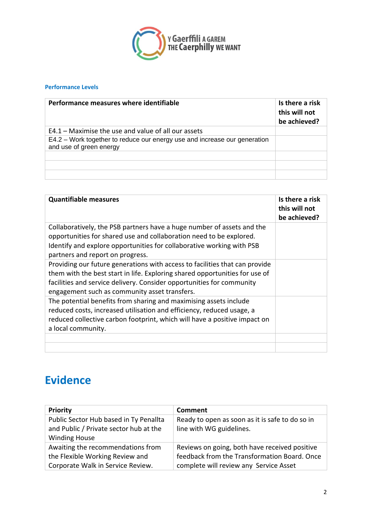

#### **Performance Levels**

| Performance measures where identifiable                                                              | Is there a risk<br>this will not<br>be achieved? |
|------------------------------------------------------------------------------------------------------|--------------------------------------------------|
| $E4.1 -$ Maximise the use and value of all our assets                                                |                                                  |
| E4.2 – Work together to reduce our energy use and increase our generation<br>and use of green energy |                                                  |
|                                                                                                      |                                                  |
|                                                                                                      |                                                  |
|                                                                                                      |                                                  |

| <b>Quantifiable measures</b>                                                                                                                                                                                                                                                         | Is there a risk<br>this will not<br>be achieved? |
|--------------------------------------------------------------------------------------------------------------------------------------------------------------------------------------------------------------------------------------------------------------------------------------|--------------------------------------------------|
| Collaboratively, the PSB partners have a huge number of assets and the<br>opportunities for shared use and collaboration need to be explored.<br>Identify and explore opportunities for collaborative working with PSB<br>partners and report on progress.                           |                                                  |
| Providing our future generations with access to facilities that can provide<br>them with the best start in life. Exploring shared opportunities for use of<br>facilities and service delivery. Consider opportunities for community<br>engagement such as community asset transfers. |                                                  |
| The potential benefits from sharing and maximising assets include<br>reduced costs, increased utilisation and efficiency, reduced usage, a<br>reduced collective carbon footprint, which will have a positive impact on<br>a local community.                                        |                                                  |
|                                                                                                                                                                                                                                                                                      |                                                  |

### **Evidence**

| <b>Priority</b>                                                | Comment                                         |
|----------------------------------------------------------------|-------------------------------------------------|
| Public Sector Hub based in Ty Penallta                         | Ready to open as soon as it is safe to do so in |
| and Public / Private sector hub at the<br><b>Winding House</b> | line with WG guidelines.                        |
| Awaiting the recommendations from                              | Reviews on going, both have received positive   |
| the Flexible Working Review and                                | feedback from the Transformation Board. Once    |
| Corporate Walk in Service Review.                              | complete will review any Service Asset          |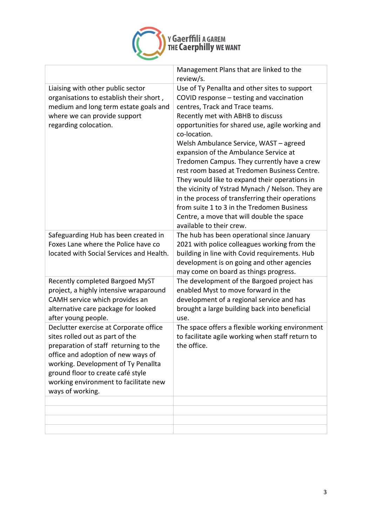

|                                                                                                                                                                                                                                                                                                   | Management Plans that are linked to the<br>review/s.                                                                                                                                                                                                                                                                                                                                                                                                                                                                                                                                                                                                                                                  |
|---------------------------------------------------------------------------------------------------------------------------------------------------------------------------------------------------------------------------------------------------------------------------------------------------|-------------------------------------------------------------------------------------------------------------------------------------------------------------------------------------------------------------------------------------------------------------------------------------------------------------------------------------------------------------------------------------------------------------------------------------------------------------------------------------------------------------------------------------------------------------------------------------------------------------------------------------------------------------------------------------------------------|
| Liaising with other public sector<br>organisations to establish their short,<br>medium and long term estate goals and<br>where we can provide support<br>regarding colocation.                                                                                                                    | Use of Ty Penallta and other sites to support<br>COVID response - testing and vaccination<br>centres, Track and Trace teams.<br>Recently met with ABHB to discuss<br>opportunities for shared use, agile working and<br>co-location.<br>Welsh Ambulance Service, WAST - agreed<br>expansion of the Ambulance Service at<br>Tredomen Campus. They currently have a crew<br>rest room based at Tredomen Business Centre.<br>They would like to expand their operations in<br>the vicinity of Ystrad Mynach / Nelson. They are<br>in the process of transferring their operations<br>from suite 1 to 3 in the Tredomen Business<br>Centre, a move that will double the space<br>available to their crew. |
| Safeguarding Hub has been created in<br>Foxes Lane where the Police have co<br>located with Social Services and Health.                                                                                                                                                                           | The hub has been operational since January<br>2021 with police colleagues working from the<br>building in line with Covid requirements. Hub<br>development is on going and other agencies<br>may come on board as things progress.                                                                                                                                                                                                                                                                                                                                                                                                                                                                    |
| Recently completed Bargoed MyST<br>project, a highly intensive wraparound<br>CAMH service which provides an<br>alternative care package for looked<br>after young people.                                                                                                                         | The development of the Bargoed project has<br>enabled Myst to move forward in the<br>development of a regional service and has<br>brought a large building back into beneficial<br>use.                                                                                                                                                                                                                                                                                                                                                                                                                                                                                                               |
| Declutter exercise at Corporate office<br>sites rolled out as part of the<br>preparation of staff returning to the<br>office and adoption of new ways of<br>working. Development of Ty Penallta<br>ground floor to create café style<br>working environment to facilitate new<br>ways of working. | The space offers a flexible working environment<br>to facilitate agile working when staff return to<br>the office.                                                                                                                                                                                                                                                                                                                                                                                                                                                                                                                                                                                    |
|                                                                                                                                                                                                                                                                                                   |                                                                                                                                                                                                                                                                                                                                                                                                                                                                                                                                                                                                                                                                                                       |
|                                                                                                                                                                                                                                                                                                   |                                                                                                                                                                                                                                                                                                                                                                                                                                                                                                                                                                                                                                                                                                       |
|                                                                                                                                                                                                                                                                                                   |                                                                                                                                                                                                                                                                                                                                                                                                                                                                                                                                                                                                                                                                                                       |
|                                                                                                                                                                                                                                                                                                   |                                                                                                                                                                                                                                                                                                                                                                                                                                                                                                                                                                                                                                                                                                       |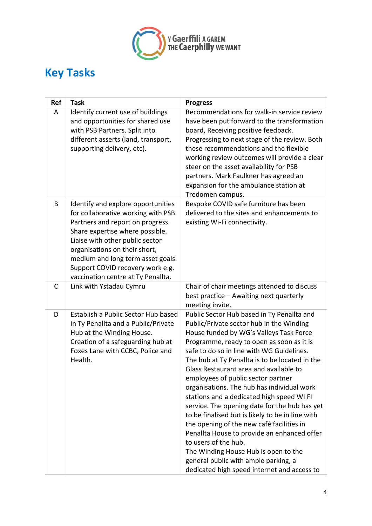

# **Key Tasks**

| Ref | <b>Task</b>                                                                                                                                                                                                                                                                                                                        | <b>Progress</b>                                                                                                                                                                                                                                                                                                                                                                                                                                                                                                                                                                                                                                                                                                                                                                                                  |
|-----|------------------------------------------------------------------------------------------------------------------------------------------------------------------------------------------------------------------------------------------------------------------------------------------------------------------------------------|------------------------------------------------------------------------------------------------------------------------------------------------------------------------------------------------------------------------------------------------------------------------------------------------------------------------------------------------------------------------------------------------------------------------------------------------------------------------------------------------------------------------------------------------------------------------------------------------------------------------------------------------------------------------------------------------------------------------------------------------------------------------------------------------------------------|
| A   | Identify current use of buildings<br>and opportunities for shared use<br>with PSB Partners. Split into<br>different asserts (land, transport,<br>supporting delivery, etc).                                                                                                                                                        | Recommendations for walk-in service review<br>have been put forward to the transformation<br>board, Receiving positive feedback.<br>Progressing to next stage of the review. Both<br>these recommendations and the flexible<br>working review outcomes will provide a clear<br>steer on the asset availability for PSB<br>partners. Mark Faulkner has agreed an<br>expansion for the ambulance station at<br>Tredomen campus.                                                                                                                                                                                                                                                                                                                                                                                    |
| B   | Identify and explore opportunities<br>for collaborative working with PSB<br>Partners and report on progress.<br>Share expertise where possible.<br>Liaise with other public sector<br>organisations on their short,<br>medium and long term asset goals.<br>Support COVID recovery work e.g.<br>vaccination centre at Ty Penallta. | Bespoke COVID safe furniture has been<br>delivered to the sites and enhancements to<br>existing Wi-Fi connectivity.                                                                                                                                                                                                                                                                                                                                                                                                                                                                                                                                                                                                                                                                                              |
| C   | Link with Ystadau Cymru                                                                                                                                                                                                                                                                                                            | Chair of chair meetings attended to discuss<br>best practice - Awaiting next quarterly<br>meeting invite.                                                                                                                                                                                                                                                                                                                                                                                                                                                                                                                                                                                                                                                                                                        |
| D   | Establish a Public Sector Hub based<br>in Ty Penallta and a Public/Private<br>Hub at the Winding House.<br>Creation of a safeguarding hub at<br>Foxes Lane with CCBC, Police and<br>Health.                                                                                                                                        | Public Sector Hub based in Ty Penallta and<br>Public/Private sector hub in the Winding<br>House funded by WG's Valleys Task Force<br>Programme, ready to open as soon as it is<br>safe to do so in line with WG Guidelines.<br>The hub at Ty Penallta is to be located in the<br>Glass Restaurant area and available to<br>employees of public sector partner<br>organisations. The hub has individual work<br>stations and a dedicated high speed WI FI<br>service. The opening date for the hub has yet<br>to be finalised but is likely to be in line with<br>the opening of the new café facilities in<br>Penallta House to provide an enhanced offer<br>to users of the hub.<br>The Winding House Hub is open to the<br>general public with ample parking, a<br>dedicated high speed internet and access to |